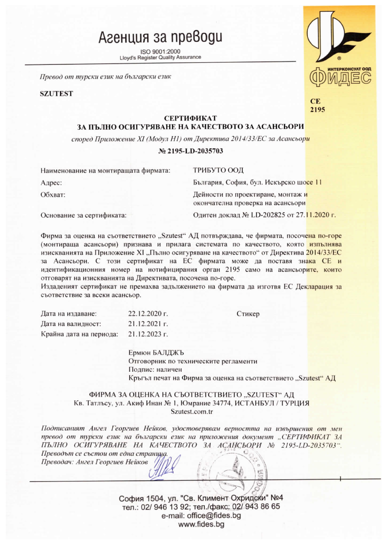## Агенция за преводи

ISO 9001:2000 **Lloyd's Register Quality Assurance** 

Превод от турски език на български език

**SZUTEST** 



 $CE$ 2195

### СЕРТИФИКАТ

## ЗА ПЪЛНО ОСИГУРЯВАНЕ НА КАЧЕСТВОТО ЗА АСАНСЬОРИ

според Приложение XI (Модул H1) от Директива 2014/33/ЕС за Асансьори

#### № 2195-LD-2035703

| Наименование на монтиращата фирмата: | ТРИБУТО ООД                                                            |  |
|--------------------------------------|------------------------------------------------------------------------|--|
| Адрес:                               | България, София, бул. Искърско шосе 11                                 |  |
| Обхват:                              | Дейности по проектиране, монтаж и<br>окончателна проверка на асансьори |  |
| Основание за сертификата:            | Одитен доклад № LD-202825 от 27.11.2020 г.                             |  |

Фирма за оценка на съответствието "Szutest" АД потвърждава, че фирмата, посочена по-горе (монтираща асансьори) признава и прилага системата по качеството, която изпълнява изискванията на Приложение XI "Пълно осигуряване на качеството" от Директива 2014/33/ЕС за Асансьори. С този сертификат на ЕС фирмата може да поставя знака СЕ и идентификационния номер на нотифицирания орган 2195 само на асансьорите, които отговарят на изискванията на Директивата, посочена по-горе.

Издаденият сертификат не премахва задължението на фирмата да изготвя ЕС Декларация за съответствие за всеки асансьор.

| Дата на издаване:       | 22.12.2020 г.   |
|-------------------------|-----------------|
| Дата на валидност:      | $21.12.2021$ r. |
| Крайна дата на периода: | 21.12.2023 г.   |

Ермюн БАЛДЖЪ Отговорник по техническите регламенти Подпис: наличен Кръгъл печат на Фирма за оценка на съответствието "Szutest" АД

Стикер

ФИРМА ЗА ОЦЕНКА НА СЪОТВЕТСТВИЕТО "SZUTEST" АД Кв. Татлъсу, ул. Акиф Инан № 1, Юмрание 34774, ИСТАНБУЛ / ТУРЦИЯ Szutest.com.tr

Подписаният Ангел Георгиев Нейков, удостоверявам верността на извършения от мен превод от турски език на български език на приложения документ "СЕРТИФИКАТ ЗА ПЪЛНО ОСИГУРЯВАНЕ НА КАЧЕСТВОТО ЗА АСАНСЬОРИ № 2195-LD-2035703".

Преводът се състои от една странща. Преводач: Ангел Георгиев Нейков

> София 1504, ул. "Св. Климент Охридски" №4 тел.: 02/ 946 13 92; тел./факс: 02/ 943 86 65 e-mail: office@fides.bq www.fides.bg